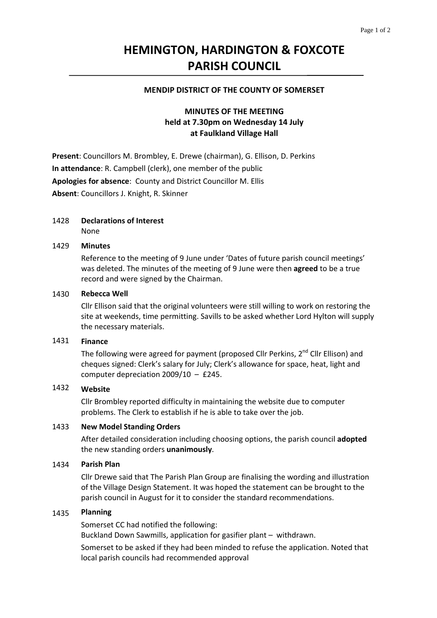# **HEMINGTON, HARDINGTON & FOXCOTE PARISH COUNCIL**

### **MENDIP DISTRICT OF THE COUNTY OF SOMERSET**

# **MINUTES OF THE MEETING held at 7.30pm on Wednesday 14 July at Faulkland Village Hall**

**Present**: Councillors M. Brombley, E. Drewe (chairman), G. Ellison, D. Perkins **In attendance**: R. Campbell (clerk), one member of the public **Apologies for absence**: County and District Councillor M. Ellis **Absent**: Councillors J. Knight, R. Skinner

# 1428 **Declarations of Interest**

None

#### 1429 **Minutes**

Reference to the meeting of 9 June under 'Dates of future parish council meetings' was deleted. The minutes of the meeting of 9 June were then **agreed** to be a true record and were signed by the Chairman.

#### 1430 **Rebecca Well**

Cllr Ellison said that the original volunteers were still willing to work on restoring the site at weekends, time permitting. Savills to be asked whether Lord Hylton will supply the necessary materials.

#### 1431 **Finance**

The following were agreed for payment (proposed Cllr Perkins, 2<sup>nd</sup> Cllr Ellison) and cheques signed: Clerk's salary for July; Clerk's allowance for space, heat, light and computer depreciation  $2009/10$  – £245.

#### 1432 **Website**

Cllr Brombley reported difficulty in maintaining the website due to computer problems. The Clerk to establish if he is able to take over the job.

#### 1433 **New Model Standing Orders**

After detailed consideration including choosing options, the parish council **adopted** the new standing orders **unanimously**.

#### 1434 **Parish Plan**

Cllr Drewe said that The Parish Plan Group are finalising the wording and illustration of the Village Design Statement. It was hoped the statement can be brought to the parish council in August for it to consider the standard recommendations.

#### 1435 **Planning**

Somerset CC had notified the following:

Buckland Down Sawmills, application for gasifier plant – withdrawn.

Somerset to be asked if they had been minded to refuse the application. Noted that local parish councils had recommended approval